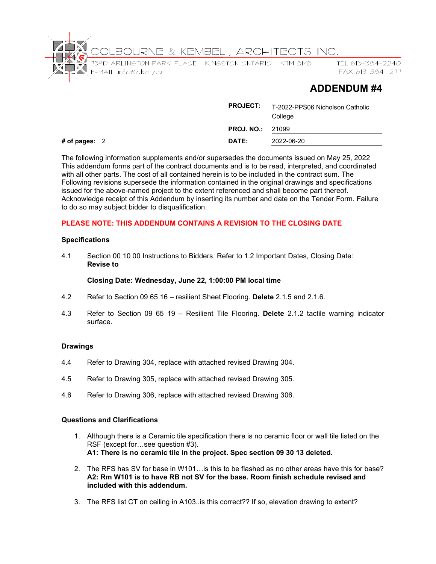

# **ADDENDUM #4**

|                 | <b>PROJECT:</b>         | T-2022-PPS06 Nicholson Catholic<br>College |
|-----------------|-------------------------|--------------------------------------------|
|                 | <b>PROJ. NO.: 21099</b> |                                            |
| # of pages: $2$ | DATE:                   | 2022-06-20                                 |

The following information supplements and/or supersedes the documents issued on May 25, 2022 This addendum forms part of the contract documents and is to be read, interpreted, and coordinated with all other parts. The cost of all contained herein is to be included in the contract sum. The Following revisions supersede the information contained in the original drawings and specifications issued for the above-named project to the extent referenced and shall become part thereof. Acknowledge receipt of this Addendum by inserting its number and date on the Tender Form. Failure to do so may subject bidder to disqualification.

# **PLEASE NOTE: THIS ADDENDUM CONTAINS A REVISION TO THE CLOSING DATE**

## **Specifications**

4.1 Section 00 10 00 Instructions to Bidders, Refer to 1.2 Important Dates, Closing Date: **Revise to** 

#### **Closing Date: Wednesday, June 22, 1:00:00 PM local time**

- 4.2 Refer to Section 09 65 16 resilient Sheet Flooring. **Delete** 2.1.5 and 2.1.6.
- 4.3 Refer to Section 09 65 19 Resilient Tile Flooring. **Delete** 2.1.2 tactile warning indicator surface.

## **Drawings**

- 4.4 Refer to Drawing 304, replace with attached revised Drawing 304.
- 4.5 Refer to Drawing 305, replace with attached revised Drawing 305.
- 4.6 Refer to Drawing 306, replace with attached revised Drawing 306.

#### **Questions and Clarifications**

- 1. Although there is a Ceramic tile specification there is no ceramic floor or wall tile listed on the RSF (except for…see question #3). **A1: There is no ceramic tile in the project. Spec section 09 30 13 deleted.**
- 2. The RFS has SV for base in W101…is this to be flashed as no other areas have this for base? **A2: Rm W101 is to have RB not SV for the base. Room finish schedule revised and included with this addendum.**
- 3. The RFS list CT on ceiling in A103..is this correct?? If so, elevation drawing to extent?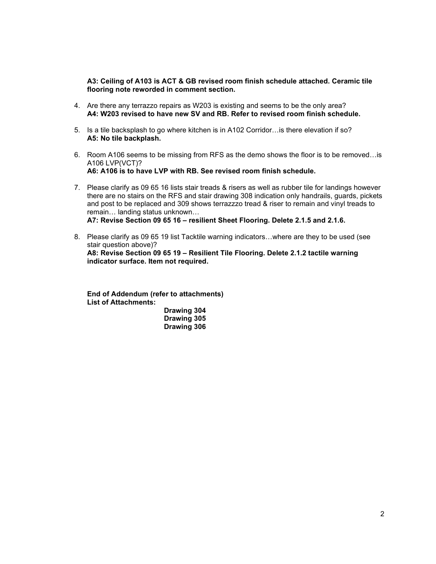**A3: Ceiling of A103 is ACT & GB revised room finish schedule attached. Ceramic tile flooring note reworded in comment section.** 

- 4. Are there any terrazzo repairs as W203 is existing and seems to be the only area? **A4: W203 revised to have new SV and RB. Refer to revised room finish schedule.**
- 5. Is a tile backsplash to go where kitchen is in A102 Corridor…is there elevation if so? **A5: No tile backplash.**
- 6. Room A106 seems to be missing from RFS as the demo shows the floor is to be removed…is A106 LVP(VCT)? **A6: A106 is to have LVP with RB. See revised room finish schedule.**
- 7. Please clarify as 09 65 16 lists stair treads & risers as well as rubber tile for landings however there are no stairs on the RFS and stair drawing 308 indication only handrails, guards, pickets and post to be replaced and 309 shows terrazzzo tread & riser to remain and vinyl treads to remain… landing status unknown… **A7: Revise Section 09 65 16 – resilient Sheet Flooring. Delete 2.1.5 and 2.1.6.**
- 8. Please clarify as 09 65 19 list Tacktile warning indicators…where are they to be used (see stair question above)? **A8: Revise Section 09 65 19 – Resilient Tile Flooring. Delete 2.1.2 tactile warning indicator surface. Item not required.**

**End of Addendum (refer to attachments) List of Attachments: Drawing 304** 

 **Drawing 305 Drawing 306**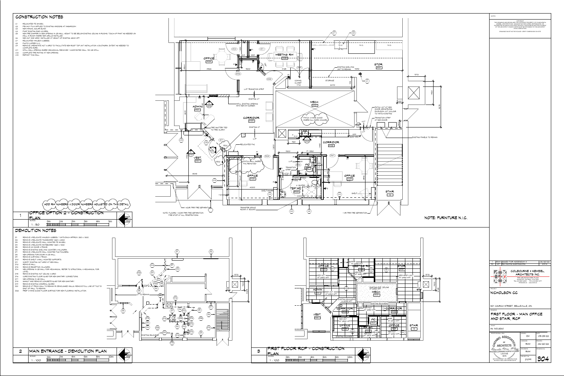EXISTING BULKHEAD

⊷ D3

| 3 | FIRST FLOOR RCP – CONSTRUCTION |     |    |    |    |  |      |  |
|---|--------------------------------|-----|----|----|----|--|------|--|
|   | SCALE:                         | 'Jm | 2m | 4m | 6m |  | l Om |  |
|   | $\cdot$ 100                    |     |    |    |    |  |      |  |



| MAIN ENTRANCE - DEMOLITION PLAN |    |    |    |    |    |                 |  |
|---------------------------------|----|----|----|----|----|-----------------|--|
| SCALE:                          | Jm | 2m | 4m | 6m | 8m | 10 <sub>m</sub> |  |
| 1OO                             |    |    |    |    |    |                 |  |



# CONSTRUCTION NOTES

- C1 RELOCATED FE 3A10BC.
- C2 PRIVACY FILM APPLIED TO EXISTING WINDOWS AT WASHROOM. C3 NEW MANUAL SOLAR BLIND.
- C4 PAINT EXISITNG RAD COVERS.
- C5 NEW FIRE DAMPER IN NEW OPENING IN CB WALL. HEIGHT TO BE BELOW EXISTING CEILING IN ROOMS. TOUCH-UP PAINT AS NEEDED ON WALL IN ROOM WHERE NEW GRILLE INSTALLED.
- C6 NEW ACT AND GRID. INSTALLED AT HEIGHT OF EXISTING 2800 AFF.
- C7 RELOCATED MAILBOX CUBBIES.
- C8 PHOTO COPIER N.I.C. C9 REMOVE & REINSTATE ACT & GRID TO FACILLITATE NEW ROOF TOP UNIT INSTALLATION & DUCTWORK. EXTENT AS NEEDED TO
- COMPLETE WORK. C11 INFILL WALL OPENING WHERE MECHANICAL REMOVED 1 HOUR RATED WALL 190 CB INFILL.
- C12 COMPLETE FIRE RATING AT NEW OPENING.
- C13 REPAINT THIS WALL.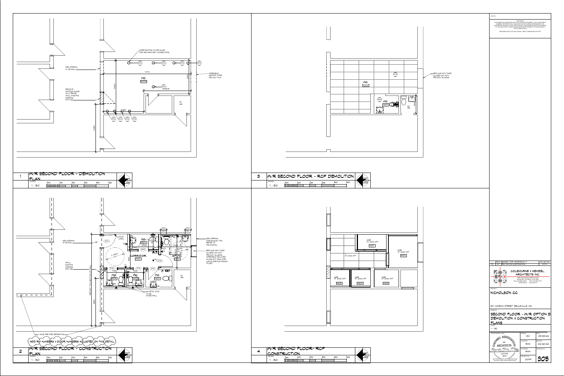